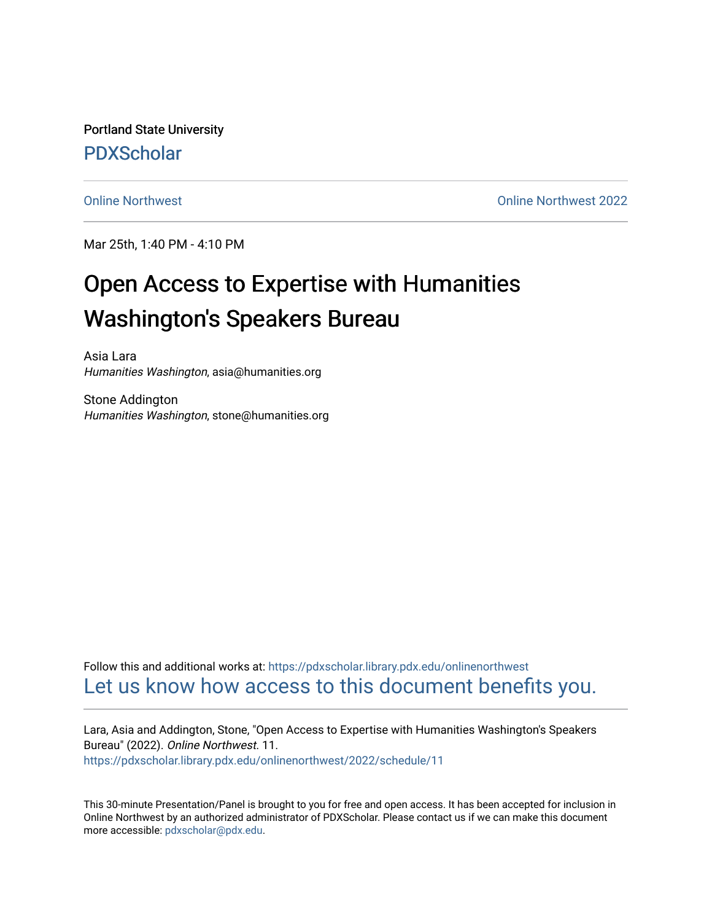Portland State University [PDXScholar](https://pdxscholar.library.pdx.edu/)

[Online Northwest](https://pdxscholar.library.pdx.edu/onlinenorthwest) [Online Northwest 2022](https://pdxscholar.library.pdx.edu/onlinenorthwest/2022) 

Mar 25th, 1:40 PM - 4:10 PM

#### Open Access to Expertise with Humanities Washington's Speakers Bureau

Asia Lara Humanities Washington, asia@humanities.org

Stone Addington Humanities Washington, stone@humanities.org

Follow this and additional works at: [https://pdxscholar.library.pdx.edu/onlinenorthwest](https://pdxscholar.library.pdx.edu/onlinenorthwest?utm_source=pdxscholar.library.pdx.edu%2Fonlinenorthwest%2F2022%2Fschedule%2F11&utm_medium=PDF&utm_campaign=PDFCoverPages)  [Let us know how access to this document benefits you.](http://library.pdx.edu/services/pdxscholar-services/pdxscholar-feedback/) 

Lara, Asia and Addington, Stone, "Open Access to Expertise with Humanities Washington's Speakers Bureau" (2022). Online Northwest. 11. [https://pdxscholar.library.pdx.edu/onlinenorthwest/2022/schedule/11](https://pdxscholar.library.pdx.edu/onlinenorthwest/2022/schedule/11?utm_source=pdxscholar.library.pdx.edu%2Fonlinenorthwest%2F2022%2Fschedule%2F11&utm_medium=PDF&utm_campaign=PDFCoverPages)

This 30-minute Presentation/Panel is brought to you for free and open access. It has been accepted for inclusion in Online Northwest by an authorized administrator of PDXScholar. Please contact us if we can make this document more accessible: [pdxscholar@pdx.edu.](mailto:pdxscholar@pdx.edu)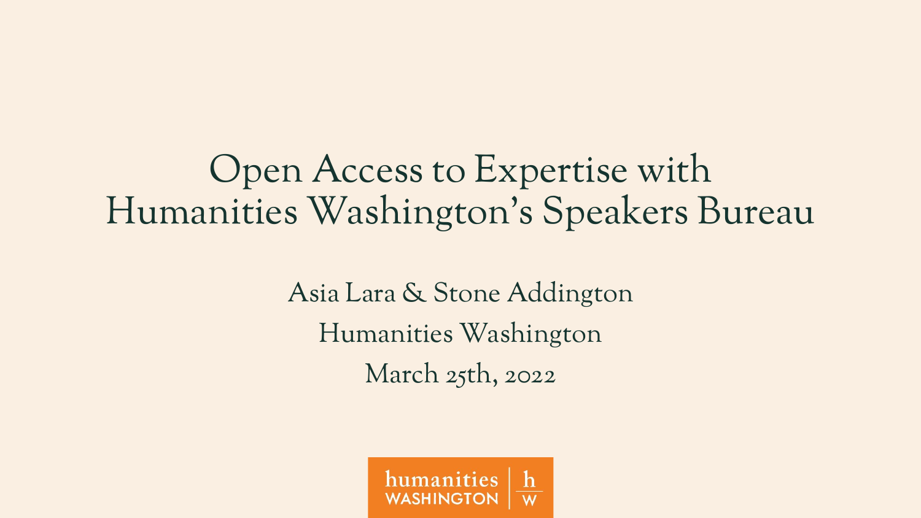### Open Access to Expertise with Humanities Washington's Speakers Bureau

Asia Lara & Stone Addington Humanities Washington March 25th, 2022

> humanities **WASHINGTOI**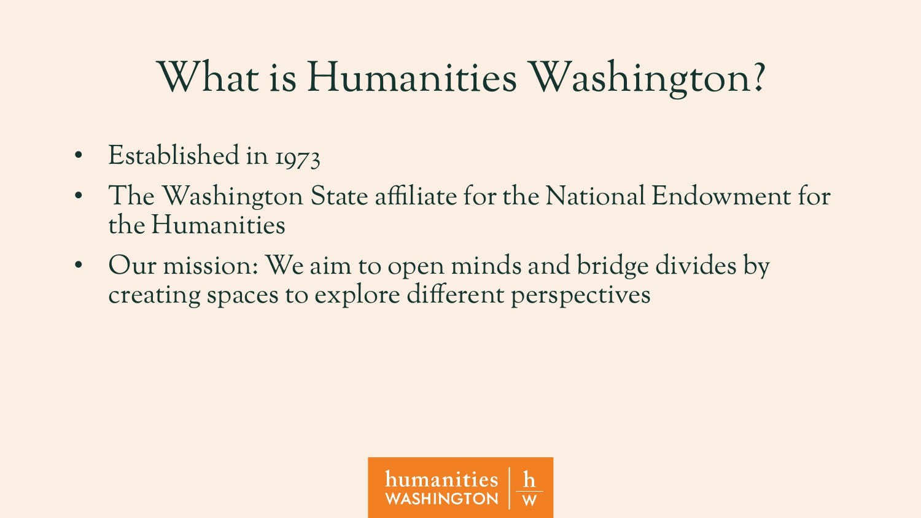## What is Humanities Washington?

- Established in 1973
- The Washington State affiliate for the National Endowment for the Humanities
- Our mission: We aim to open minds and bridge divides by creating spaces to explore different perspectives

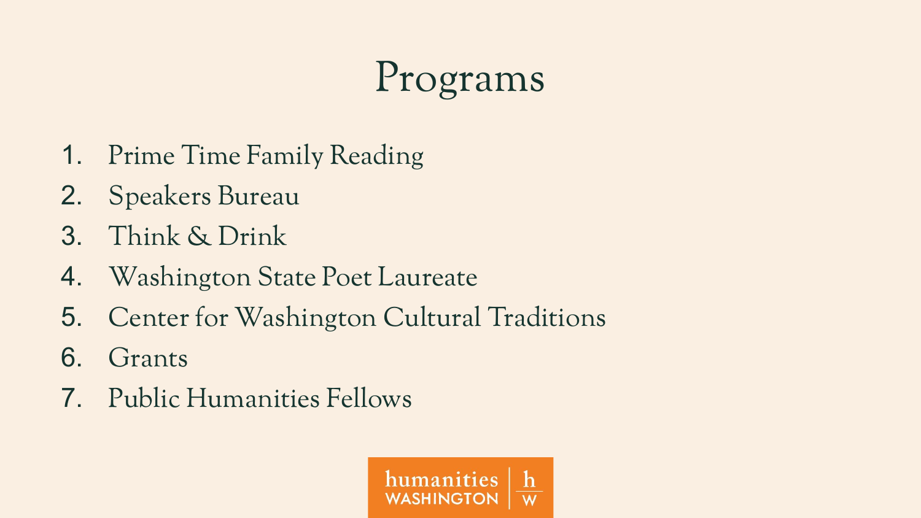## Programs

- 1. Prime Time Family Reading
- 2. Speakers Bureau
- 3. Think & Drink
- 4. Washington State Poet Laureate
- 5. Center for Washington Cultural Traditions
- 6. Grants
- 7. Public Humanities Fellows

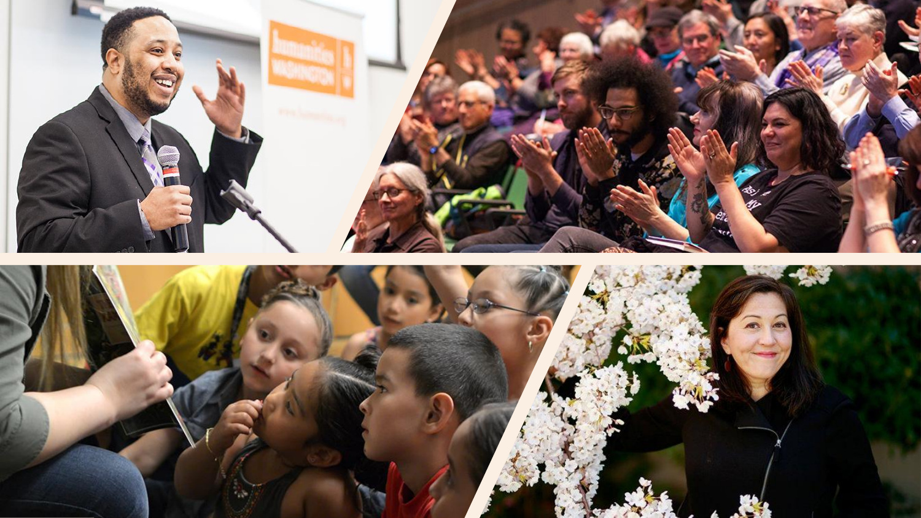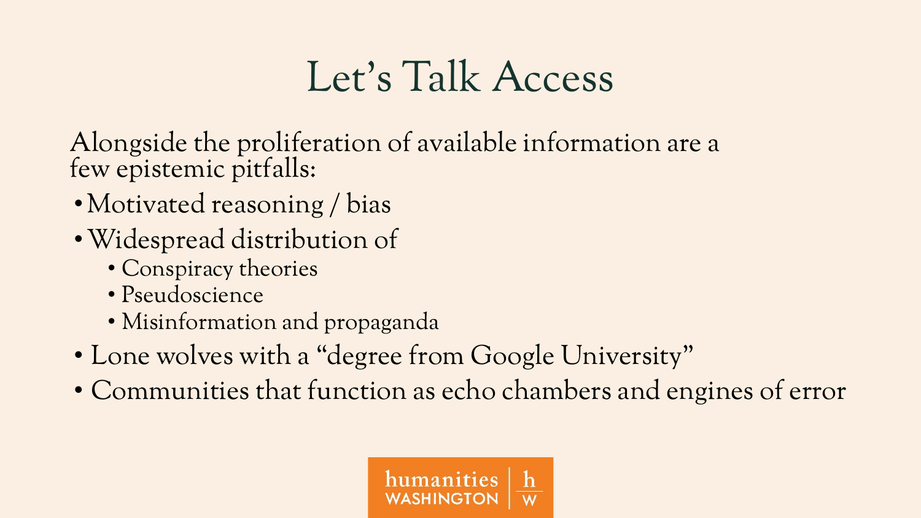## Let's Talk Access

Alongside the proliferation of available information are a few epistemic pitfalls:

- •Motivated reasoning / bias
- •Widespread distribution of
	- Conspiracy theories
	- Pseudoscience
	- Misinformation and propaganda
- Lone wolves with a "degree from Google University"
- Communities that function as echo chambers and engines of error

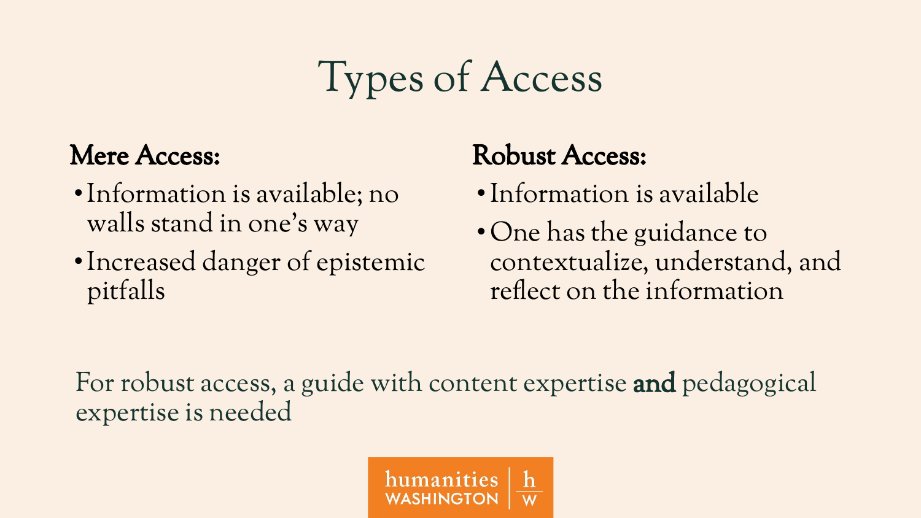# Types of Access

#### Mere Access:

- Information is available; no walls stand in one's way
- Increased danger of epistemic pitfalls

### Robust Access:

- •Information is available
- One has the guidance to contextualize, understand, and reflect on the information

For robust access, a guide with content expertise and pedagogical expertise is needed

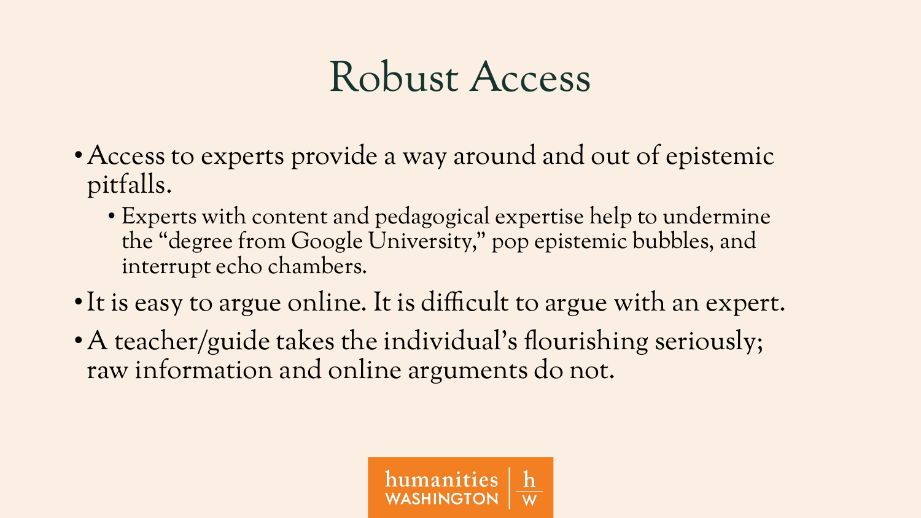### Robust Access

- Access to experts provide a way around and out of epistemic pitfalls.
	- Experts with content and pedagogical expertise help to undermine the "degree from Google University," pop epistemic bubbles, and interrupt echo chambers.
- It is easy to argue online. It is difficult to argue with an expert.
- A teacher/guide takes the individual's flourishing seriously; raw information and online arguments do not.

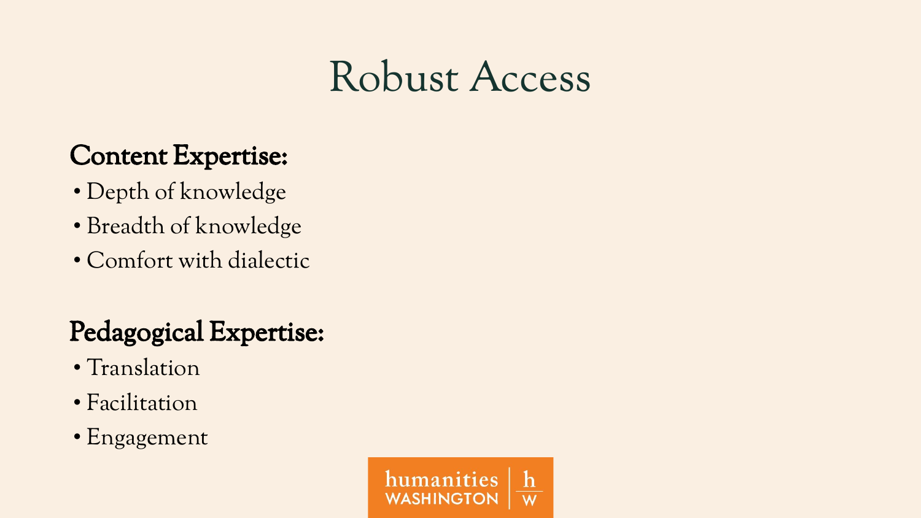### Robust Access

### Content Expertise:

- Depth of knowledge
- Breadth of knowledge
- Comfort with dialectic

### Pedagogical Expertise:

- Translation
- Facilitation
- Engagement

humanities h **WASHINGTON** W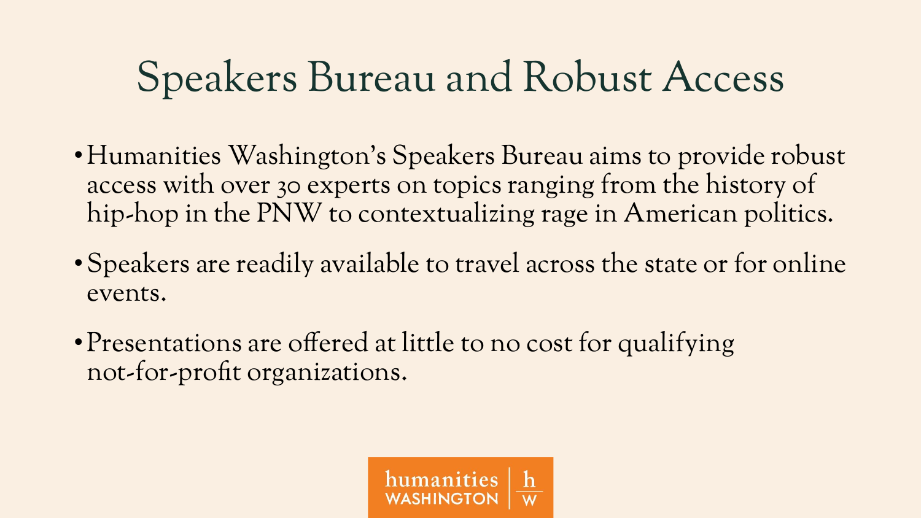### Speakers Bureau and Robust Access

- •Humanities Washington's Speakers Bureau aims to provide robust access with over 30 experts on topics ranging from the history of hip-hop in the PNW to contextualizing rage in American politics.
- Speakers are readily available to travel across the state or for online events.
- Presentations are offered at little to no cost for qualifying not-for-profit organizations.

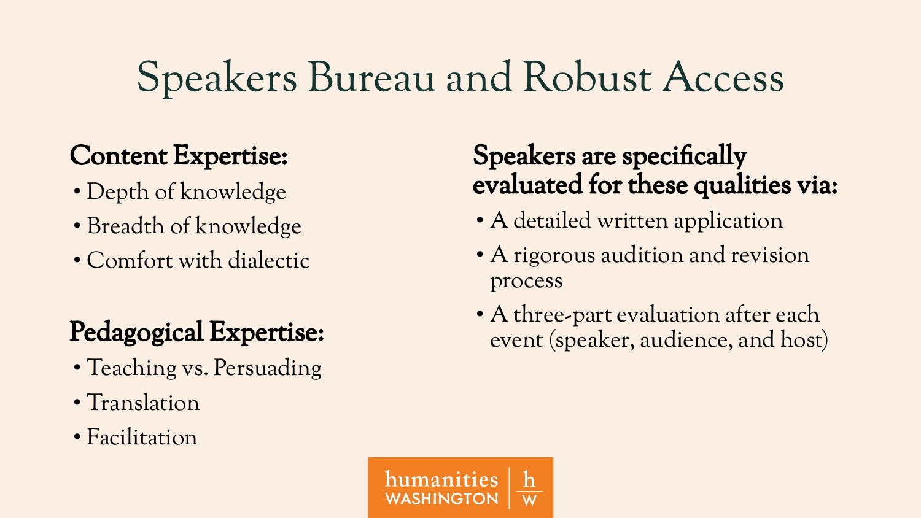## Speakers Bureau and Robust Access

### Content Expertise:

- Depth of knowledge
- Breadth of knowledge
- Comfort with dialectic

### Pedagogical Expertise:

- Teaching vs. Persuading
- Translation
- Facilitation

### Speakers are specifically evaluated for these qualities via:

- A detailed written application
- A rigorous audition and revision process
- A three-part evaluation after each event (speaker, audience, and host)

humanities WASHINGTO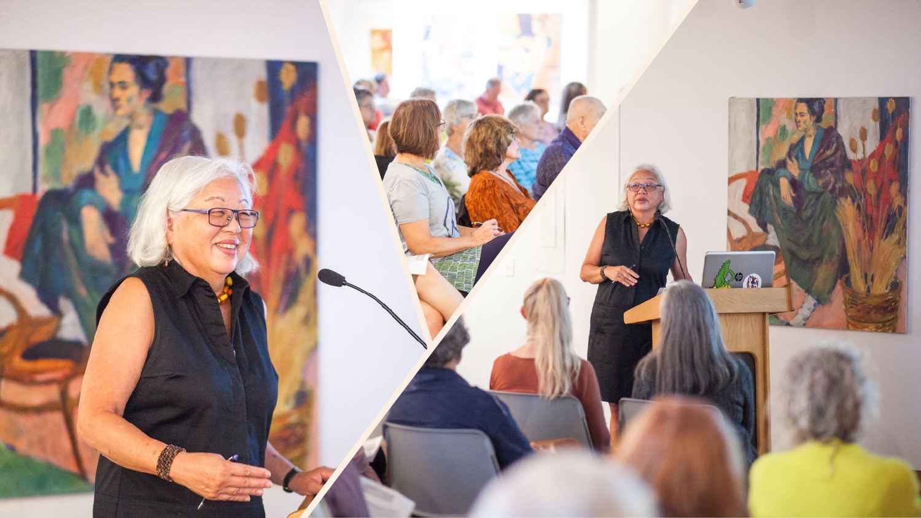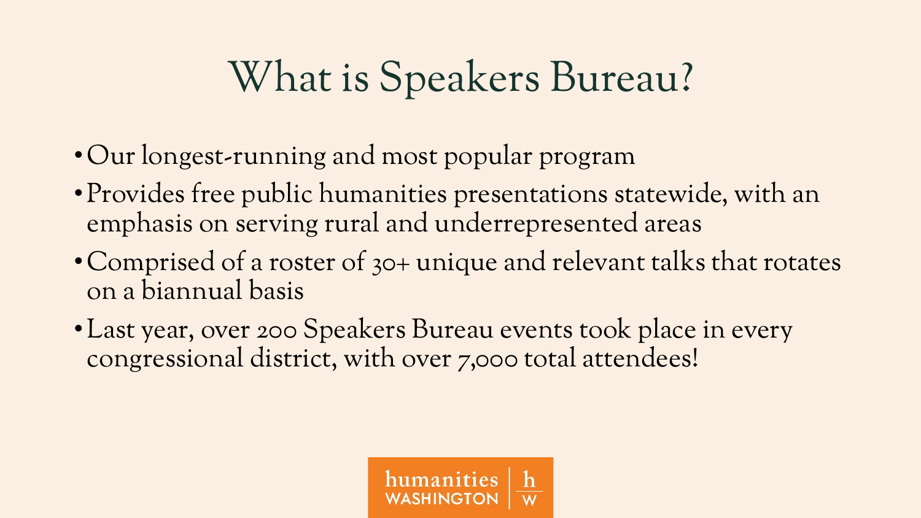# What is Speakers Bureau?

- Our longest-running and most popular program
- Provides free public humanities presentations statewide, with an emphasis on serving rural and underrepresented areas
- Comprised of a roster of 30+ unique and relevant talks that rotates on a biannual basis
- Last year, over 200 Speakers Bureau events took place in every congressional district, with over 7,000 total attendees!

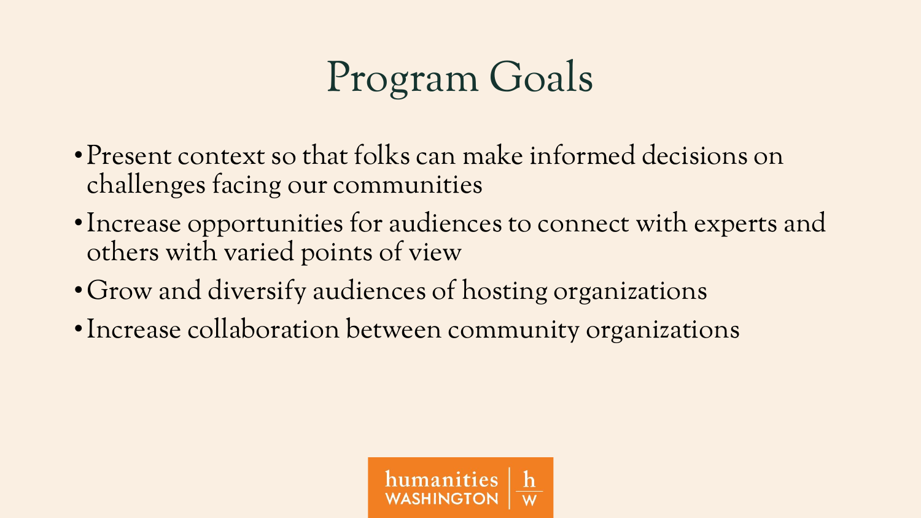## Program Goals

- Present context so that folks can make informed decisions on challenges facing our communities
- •Increase opportunities for audiences to connect with experts and others with varied points of view
- Grow and diversify audiences of hosting organizations
- Increase collaboration between community organizations

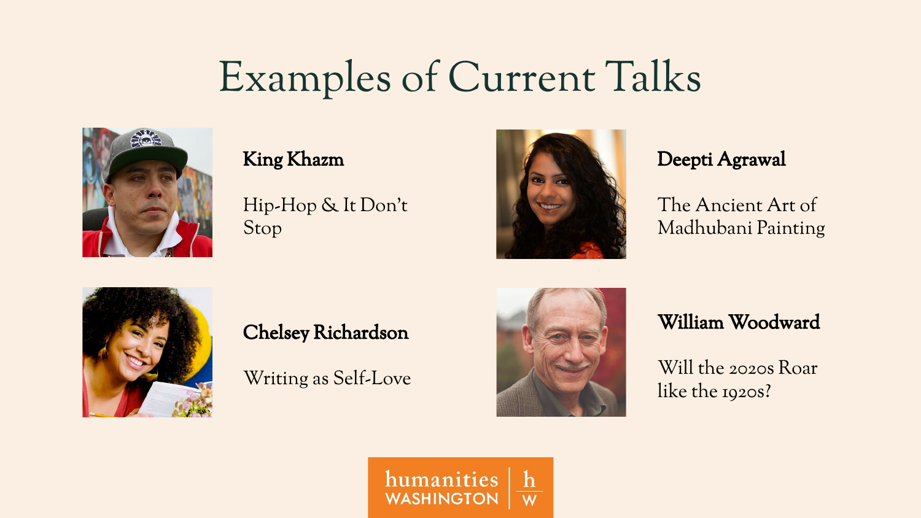## Examples of Current Talks



#### King Khazm

Hip-Hop & It Don't Stop



#### Deepti Agrawal

The Ancient Art of Madhubani Painting



Chelsey Richardson

Writing as Self-Love



#### William Woodward

Will the 2020s Roar like the 1920s?

humanities  $\mathbf h$ **WASHINGTON**  $\overline{w}$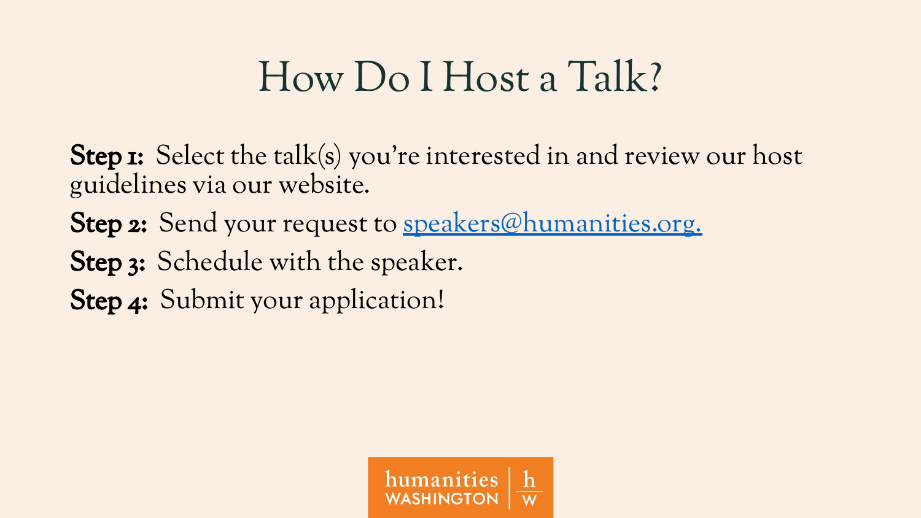### How Do I Host a Talk?

Step **I:** Select the talk(s) you're interested in and review our host guidelines via our website.

Step 2: Send your request to [speakers@humanities.org.](mailto:speakers@humanities.org)

Step 3: Schedule with the speaker.

Step 4: Submit your application!

humanities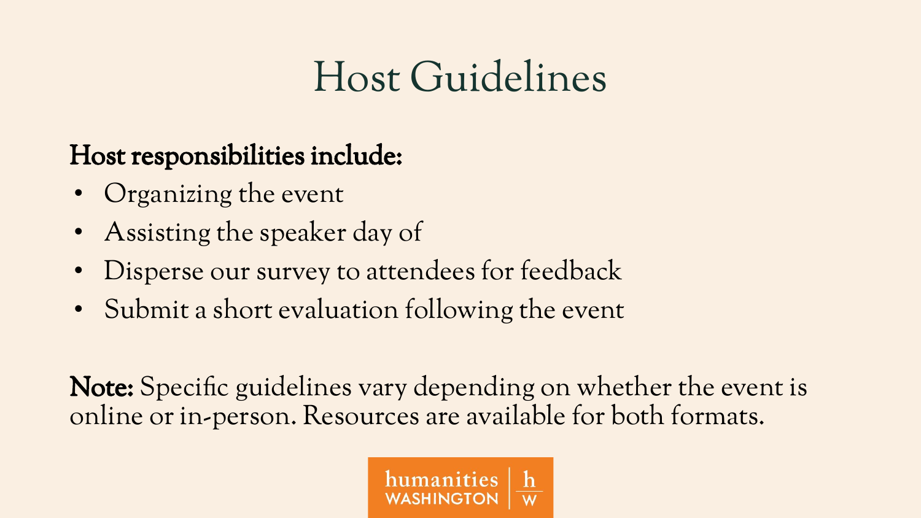### Host Guidelines

### Host responsibilities include:

- Organizing the event
- Assisting the speaker day of
- Disperse our survey to attendees for feedback
- Submit a short evaluation following the event

Note: Specific guidelines vary depending on whether the event is online or in-person. Resources are available for both formats.

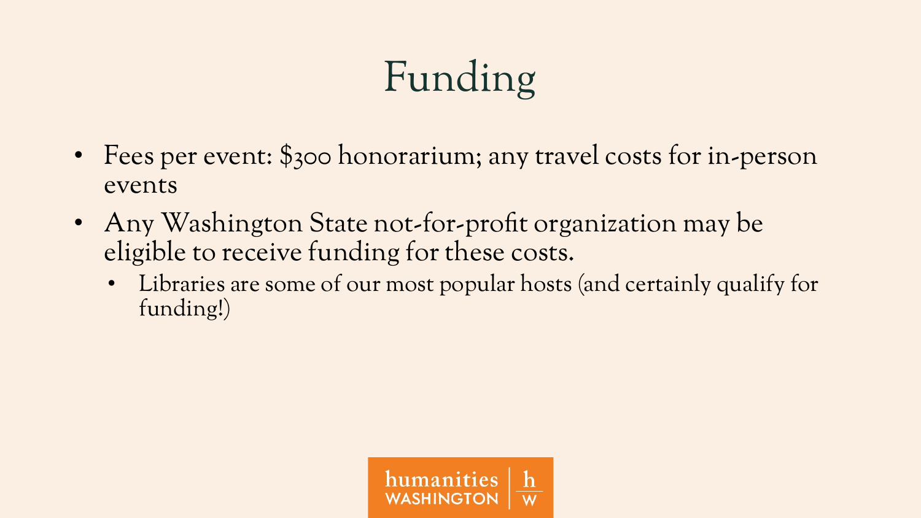# Funding

- Fees per event: \$300 honorarium; any travel costs for in-person events
- Any Washington State not-for-profit organization may be eligible to receive funding for these costs.
	- Libraries are some of our most popular hosts (and certainly qualify for funding!)

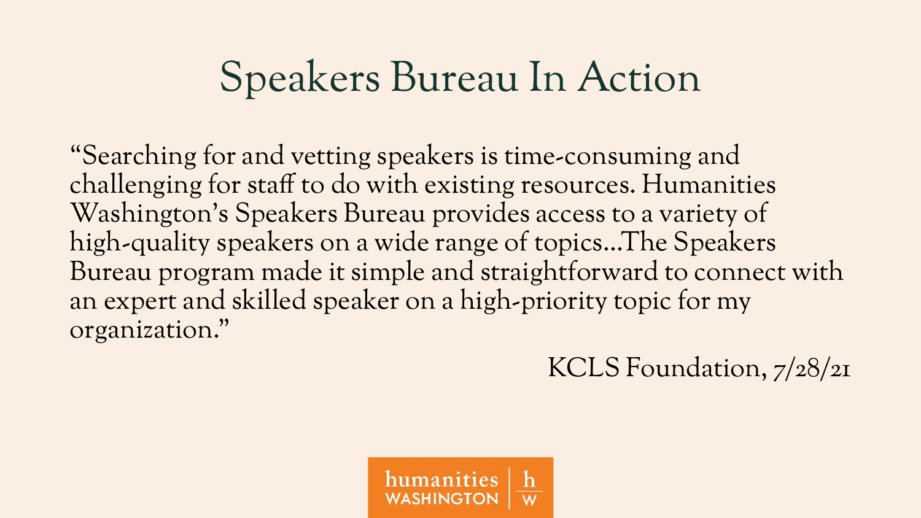### Speakers Bureau In Action

"Searching for and vetting speakers is time-consuming and challenging for staff to do with existing resources. Humanities Washington's Speakers Bureau provides access to a variety of high-quality speakers on a wide range of topics...The Speakers Bureau program made it simple and straightforward to connect with an expert and skilled speaker on a high-priority topic for my organization."

KCLS Foundation, 7/28/21

humanities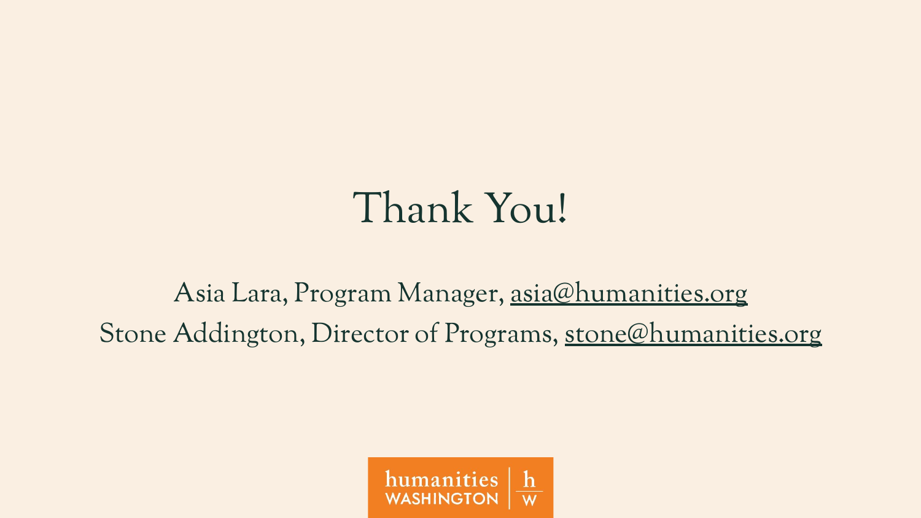### Thank You!

Asia Lara, Program Manager, [asia@humanities.org](mailto:asia@humanities.org) Stone Addington, Director of Programs, [stone@humanities.org](mailto:stone@humanities.org)